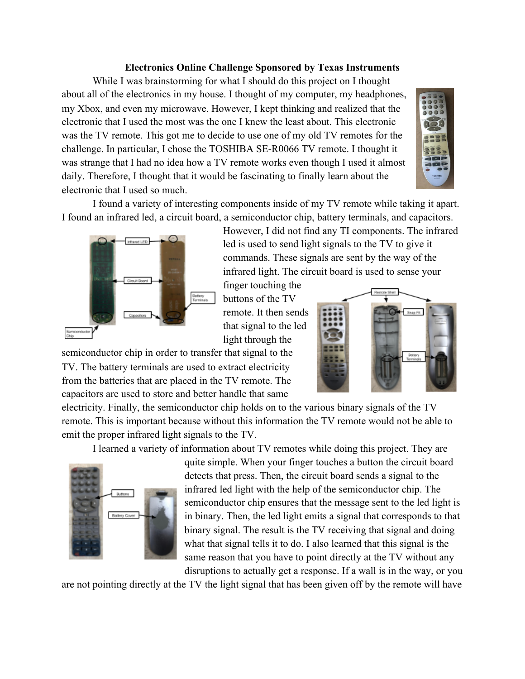## **Electronics Online Challenge Sponsored by Texas Instruments**

While I was brainstorming for what I should do this project on I thought about all of the electronics in my house. I thought of my computer, my headphones, my Xbox, and even my microwave. However, I kept thinking and realized that the electronic that I used the most was the one I knew the least about. This electronic was the TV remote. This got me to decide to use one of my old TV remotes for the challenge. In particular, I chose the TOSHIBA SE-R0066 TV remote. I thought it was strange that I had no idea how a TV remote works even though I used it almost daily. Therefore, I thought that it would be fascinating to finally learn about the electronic that I used so much.



I found a variety of interesting components inside of my TV remote while taking it apart. I found an infrared led, a circuit board, a semiconductor chip, battery terminals, and capacitors.



However, I did not find any TI components. The infrared led is used to send light signals to the TV to give it commands. These signals are sent by the way of the infrared light. The circuit board is used to sense your

finger touching the buttons of the TV remote. It then sends that signal to the led light through the

semiconductor chip in order to transfer that signal to the TV. The battery terminals are used to extract electricity from the batteries that are placed in the TV remote. The capacitors are used to store and better handle that same

electricity. Finally, the semiconductor chip holds on to the various binary signals of the TV remote. This is important because without this information the TV remote would not be able to emit the proper infrared light signals to the TV.

I learned a variety of information about TV remotes while doing this project. They are



quite simple. When your finger touches a button the circuit board detects that press. Then, the circuit board sends a signal to the infrared led light with the help of the semiconductor chip. The semiconductor chip ensures that the message sent to the led light is in binary. Then, the led light emits a signal that corresponds to that binary signal. The result is the TV receiving that signal and doing what that signal tells it to do. I also learned that this signal is the same reason that you have to point directly at the TV without any disruptions to actually get a response. If a wall is in the way, or you

are not pointing directly at the TV the light signal that has been given off by the remote will have